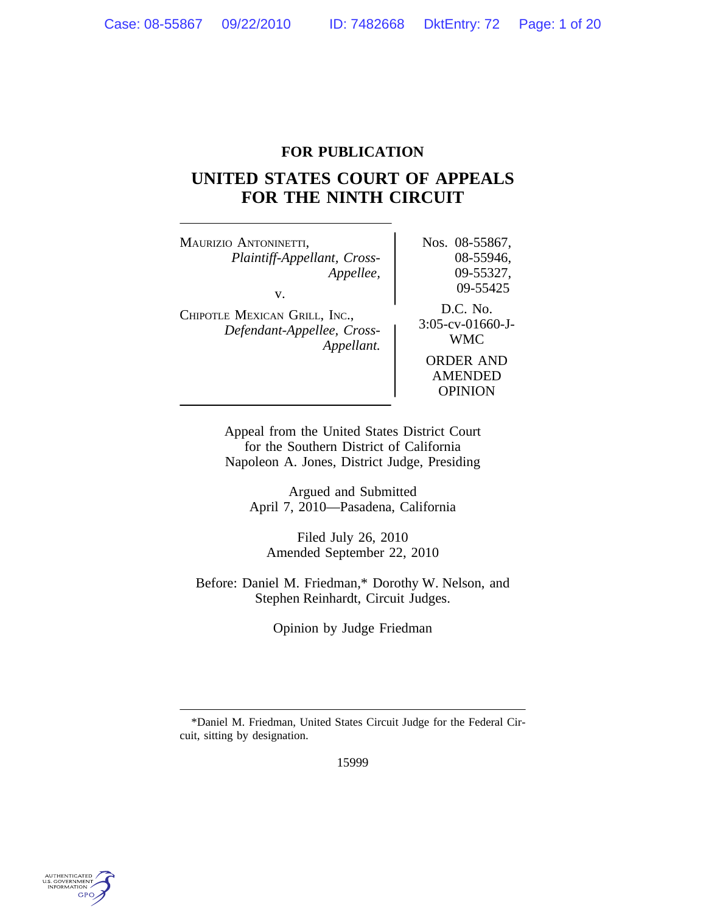# **FOR PUBLICATION**

# **UNITED STATES COURT OF APPEALS FOR THE NINTH CIRCUIT**

MAURIZIO ANTONINETTI, Nos. 08-55867, *Plaintiff-Appellant, Cross-* 08-55946, *Appellee,* 09-55327, v. 09-55425 D.C. No. <sup>C</sup>HIPOTLE MEXICAN GRILL, INC., 3:05-cv-01660-J- *Defendant-Appellee, Cross-* WMC *Appellant.* ORDER AND AMENDED OPINION

> Appeal from the United States District Court for the Southern District of California Napoleon A. Jones, District Judge, Presiding

Argued and Submitted April 7, 2010—Pasadena, California

Filed July 26, 2010 Amended September 22, 2010

Before: Daniel M. Friedman,\* Dorothy W. Nelson, and Stephen Reinhardt, Circuit Judges.

Opinion by Judge Friedman

15999



<sup>\*</sup>Daniel M. Friedman, United States Circuit Judge for the Federal Circuit, sitting by designation.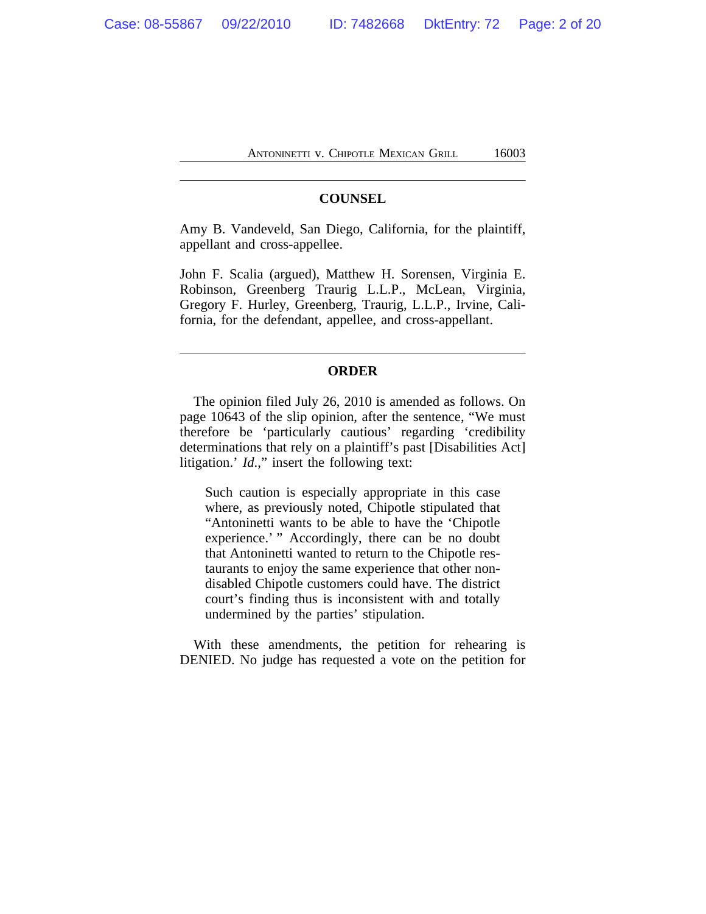# **COUNSEL**

Amy B. Vandeveld, San Diego, California, for the plaintiff, appellant and cross-appellee.

John F. Scalia (argued), Matthew H. Sorensen, Virginia E. Robinson, Greenberg Traurig L.L.P., McLean, Virginia, Gregory F. Hurley, Greenberg, Traurig, L.L.P., Irvine, California, for the defendant, appellee, and cross-appellant.

# **ORDER**

The opinion filed July 26, 2010 is amended as follows. On page 10643 of the slip opinion, after the sentence, "We must therefore be 'particularly cautious' regarding 'credibility determinations that rely on a plaintiff's past [Disabilities Act] litigation.' *Id*.," insert the following text:

Such caution is especially appropriate in this case where, as previously noted, Chipotle stipulated that "Antoninetti wants to be able to have the 'Chipotle experience.' " Accordingly, there can be no doubt that Antoninetti wanted to return to the Chipotle restaurants to enjoy the same experience that other nondisabled Chipotle customers could have. The district court's finding thus is inconsistent with and totally undermined by the parties' stipulation.

With these amendments, the petition for rehearing is DENIED. No judge has requested a vote on the petition for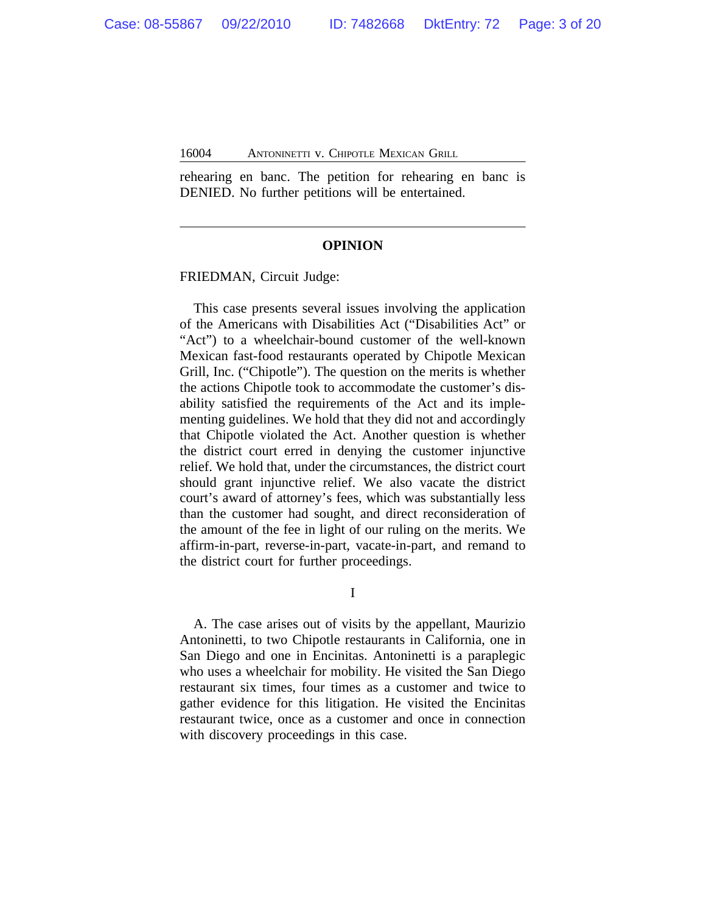rehearing en banc. The petition for rehearing en banc is DENIED. No further petitions will be entertained.

#### **OPINION**

FRIEDMAN, Circuit Judge:

This case presents several issues involving the application of the Americans with Disabilities Act ("Disabilities Act" or "Act") to a wheelchair-bound customer of the well-known Mexican fast-food restaurants operated by Chipotle Mexican Grill, Inc. ("Chipotle"). The question on the merits is whether the actions Chipotle took to accommodate the customer's disability satisfied the requirements of the Act and its implementing guidelines. We hold that they did not and accordingly that Chipotle violated the Act. Another question is whether the district court erred in denying the customer injunctive relief. We hold that, under the circumstances, the district court should grant injunctive relief. We also vacate the district court's award of attorney's fees, which was substantially less than the customer had sought, and direct reconsideration of the amount of the fee in light of our ruling on the merits. We affirm-in-part, reverse-in-part, vacate-in-part, and remand to the district court for further proceedings.

I

A. The case arises out of visits by the appellant, Maurizio Antoninetti, to two Chipotle restaurants in California, one in San Diego and one in Encinitas. Antoninetti is a paraplegic who uses a wheelchair for mobility. He visited the San Diego restaurant six times, four times as a customer and twice to gather evidence for this litigation. He visited the Encinitas restaurant twice, once as a customer and once in connection with discovery proceedings in this case.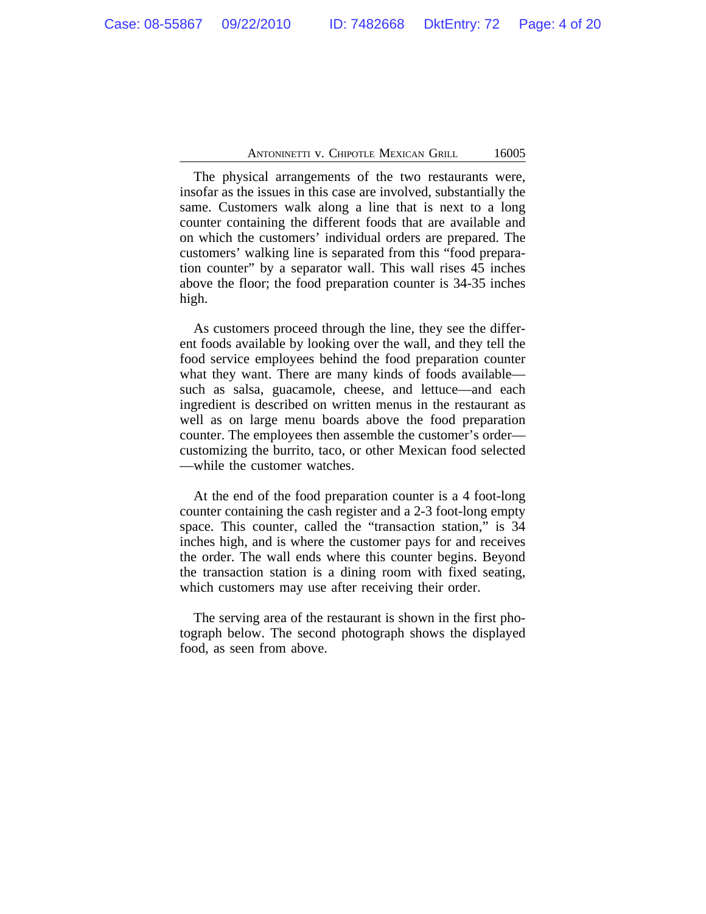The physical arrangements of the two restaurants were, insofar as the issues in this case are involved, substantially the same. Customers walk along a line that is next to a long counter containing the different foods that are available and on which the customers' individual orders are prepared. The customers' walking line is separated from this "food preparation counter" by a separator wall. This wall rises 45 inches above the floor; the food preparation counter is 34-35 inches high.

As customers proceed through the line, they see the different foods available by looking over the wall, and they tell the food service employees behind the food preparation counter what they want. There are many kinds of foods available such as salsa, guacamole, cheese, and lettuce—and each ingredient is described on written menus in the restaurant as well as on large menu boards above the food preparation counter. The employees then assemble the customer's order customizing the burrito, taco, or other Mexican food selected —while the customer watches.

At the end of the food preparation counter is a 4 foot-long counter containing the cash register and a 2-3 foot-long empty space. This counter, called the "transaction station," is 34 inches high, and is where the customer pays for and receives the order. The wall ends where this counter begins. Beyond the transaction station is a dining room with fixed seating, which customers may use after receiving their order.

The serving area of the restaurant is shown in the first photograph below. The second photograph shows the displayed food, as seen from above.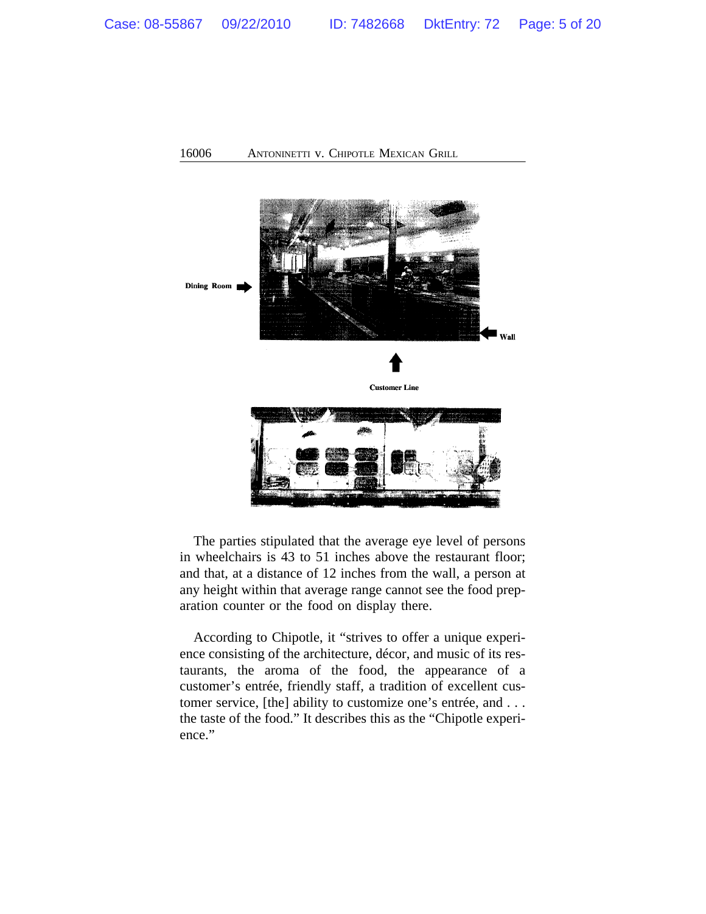

The parties stipulated that the average eye level of persons in wheelchairs is 43 to 51 inches above the restaurant floor; and that, at a distance of 12 inches from the wall, a person at any height within that average range cannot see the food preparation counter or the food on display there.

According to Chipotle, it "strives to offer a unique experience consisting of the architecture, décor, and music of its restaurants, the aroma of the food, the appearance of a customer's entrée, friendly staff, a tradition of excellent customer service, [the] ability to customize one's entrée, and . . . the taste of the food." It describes this as the "Chipotle experience."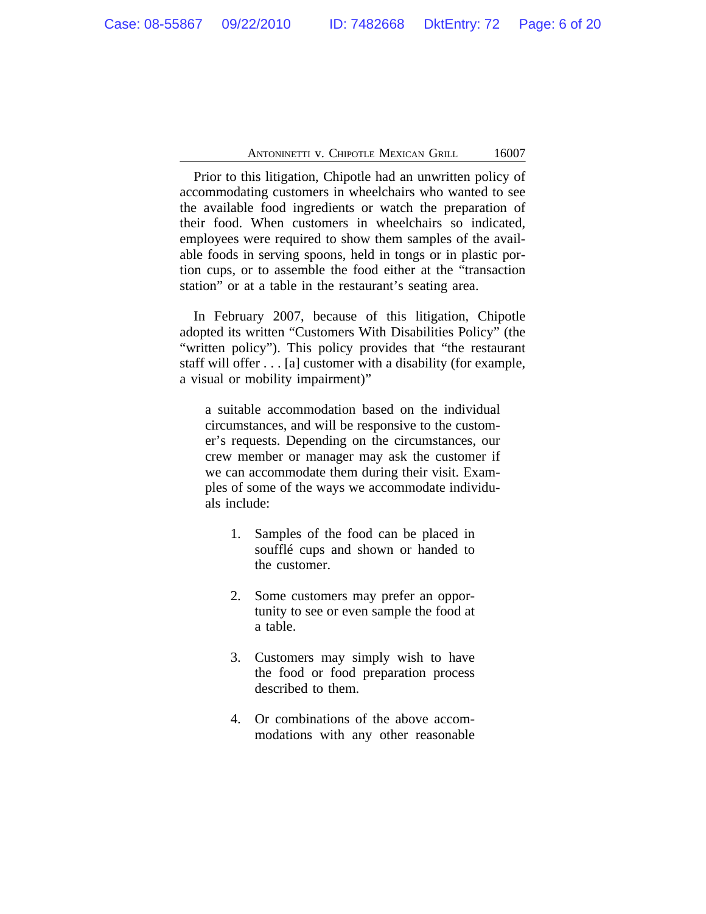Prior to this litigation, Chipotle had an unwritten policy of accommodating customers in wheelchairs who wanted to see the available food ingredients or watch the preparation of their food. When customers in wheelchairs so indicated, employees were required to show them samples of the available foods in serving spoons, held in tongs or in plastic portion cups, or to assemble the food either at the "transaction station" or at a table in the restaurant's seating area.

In February 2007, because of this litigation, Chipotle adopted its written "Customers With Disabilities Policy" (the "written policy"). This policy provides that "the restaurant staff will offer . . . [a] customer with a disability (for example, a visual or mobility impairment)"

a suitable accommodation based on the individual circumstances, and will be responsive to the customer's requests. Depending on the circumstances, our crew member or manager may ask the customer if we can accommodate them during their visit. Examples of some of the ways we accommodate individuals include:

- 1. Samples of the food can be placed in soufflé cups and shown or handed to the customer.
- 2. Some customers may prefer an opportunity to see or even sample the food at a table.
- 3. Customers may simply wish to have the food or food preparation process described to them.
- 4. Or combinations of the above accommodations with any other reasonable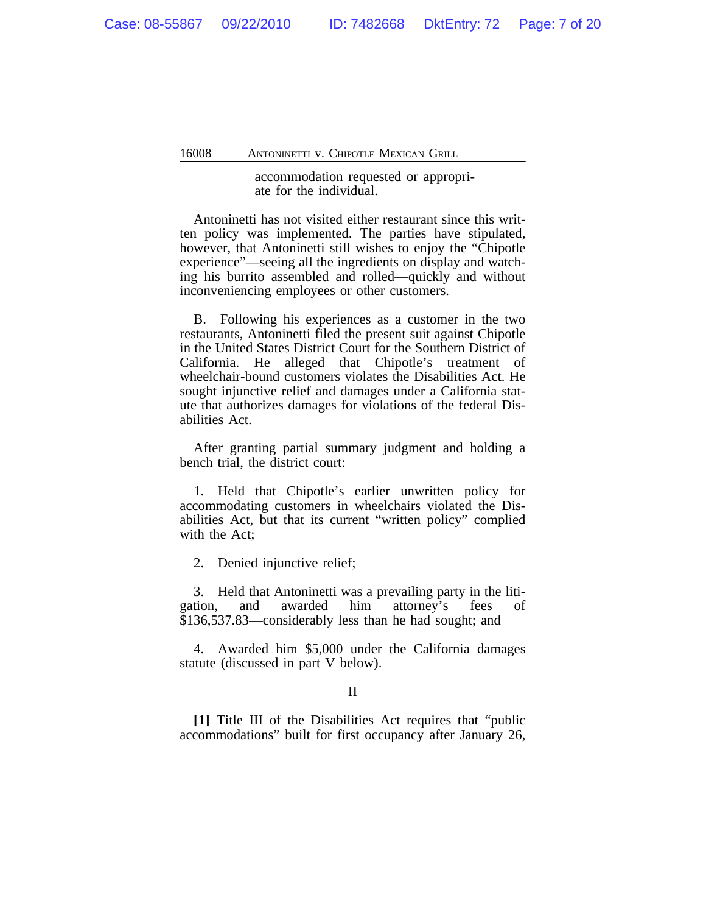# accommodation requested or appropriate for the individual.

Antoninetti has not visited either restaurant since this written policy was implemented. The parties have stipulated, however, that Antoninetti still wishes to enjoy the "Chipotle experience"—seeing all the ingredients on display and watching his burrito assembled and rolled—quickly and without inconveniencing employees or other customers.

B. Following his experiences as a customer in the two restaurants, Antoninetti filed the present suit against Chipotle in the United States District Court for the Southern District of California. He alleged that Chipotle's treatment of wheelchair-bound customers violates the Disabilities Act. He sought injunctive relief and damages under a California statute that authorizes damages for violations of the federal Disabilities Act.

After granting partial summary judgment and holding a bench trial, the district court:

1. Held that Chipotle's earlier unwritten policy for accommodating customers in wheelchairs violated the Disabilities Act, but that its current "written policy" complied with the Act;

2. Denied injunctive relief;

3. Held that Antoninetti was a prevailing party in the litigation, and awarded him attorney's fees of \$136,537.83—considerably less than he had sought; and

4. Awarded him \$5,000 under the California damages statute (discussed in part V below).

# II

**[1]** Title III of the Disabilities Act requires that "public accommodations" built for first occupancy after January 26,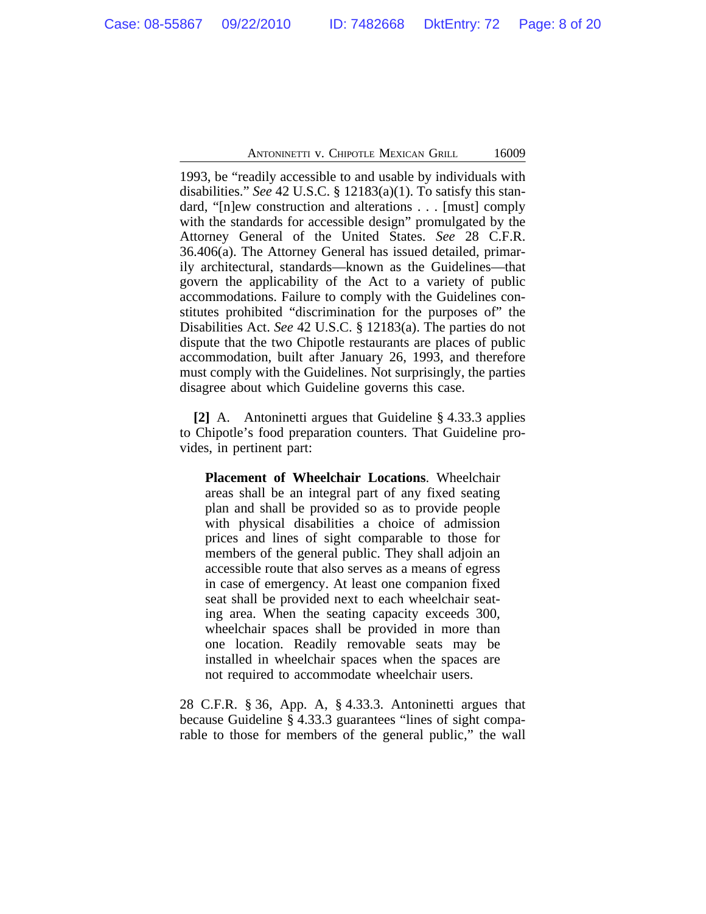1993, be "readily accessible to and usable by individuals with disabilities." *See* 42 U.S.C. § 12183(a)(1). To satisfy this standard, "[n]ew construction and alterations . . . [must] comply with the standards for accessible design" promulgated by the Attorney General of the United States. *See* 28 C.F.R. 36.406(a). The Attorney General has issued detailed, primarily architectural, standards—known as the Guidelines—that govern the applicability of the Act to a variety of public accommodations. Failure to comply with the Guidelines constitutes prohibited "discrimination for the purposes of" the Disabilities Act. *See* 42 U.S.C. § 12183(a). The parties do not dispute that the two Chipotle restaurants are places of public accommodation, built after January 26, 1993, and therefore must comply with the Guidelines. Not surprisingly, the parties disagree about which Guideline governs this case.

**[2]** A. Antoninetti argues that Guideline § 4.33.3 applies to Chipotle's food preparation counters. That Guideline provides, in pertinent part:

**Placement of Wheelchair Locations**. Wheelchair areas shall be an integral part of any fixed seating plan and shall be provided so as to provide people with physical disabilities a choice of admission prices and lines of sight comparable to those for members of the general public. They shall adjoin an accessible route that also serves as a means of egress in case of emergency. At least one companion fixed seat shall be provided next to each wheelchair seating area. When the seating capacity exceeds 300, wheelchair spaces shall be provided in more than one location. Readily removable seats may be installed in wheelchair spaces when the spaces are not required to accommodate wheelchair users.

28 C.F.R. § 36, App. A, § 4.33.3. Antoninetti argues that because Guideline § 4.33.3 guarantees "lines of sight comparable to those for members of the general public," the wall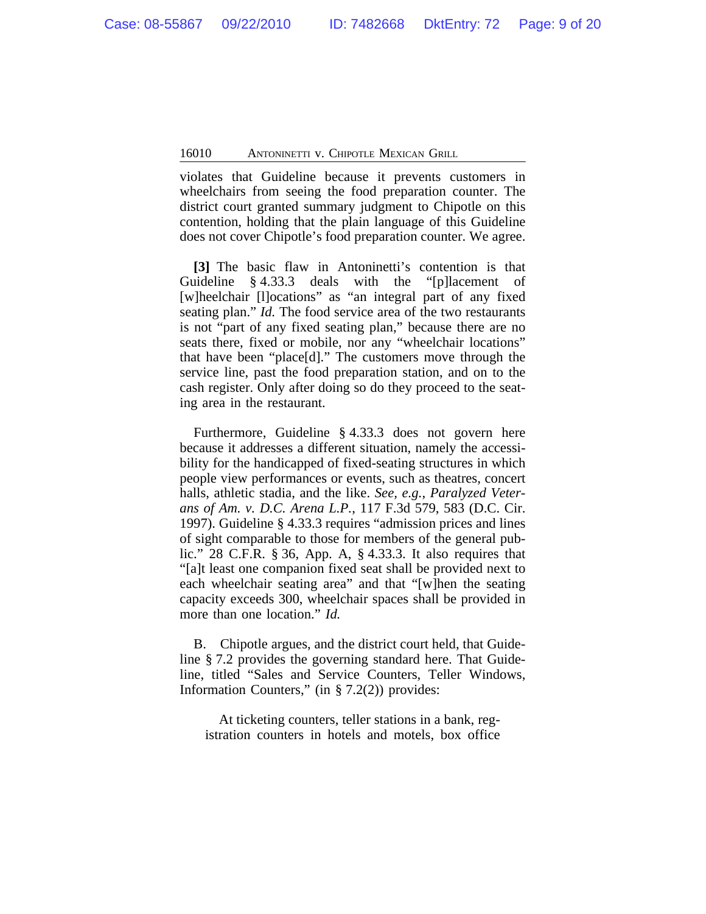violates that Guideline because it prevents customers in wheelchairs from seeing the food preparation counter. The district court granted summary judgment to Chipotle on this contention, holding that the plain language of this Guideline does not cover Chipotle's food preparation counter. We agree.

**[3]** The basic flaw in Antoninetti's contention is that Guideline § 4.33.3 deals with the "[p]lacement of [w]heelchair [l]ocations" as "an integral part of any fixed seating plan." *Id.* The food service area of the two restaurants is not "part of any fixed seating plan," because there are no seats there, fixed or mobile, nor any "wheelchair locations" that have been "place[d]." The customers move through the service line, past the food preparation station, and on to the cash register. Only after doing so do they proceed to the seating area in the restaurant.

Furthermore, Guideline § 4.33.3 does not govern here because it addresses a different situation, namely the accessibility for the handicapped of fixed-seating structures in which people view performances or events, such as theatres, concert halls, athletic stadia, and the like. *See, e.g.*, *Paralyzed Veterans of Am. v. D.C. Arena L.P.*, 117 F.3d 579, 583 (D.C. Cir. 1997). Guideline § 4.33.3 requires "admission prices and lines of sight comparable to those for members of the general public." 28 C.F.R. § 36, App. A, § 4.33.3. It also requires that "[a]t least one companion fixed seat shall be provided next to each wheelchair seating area" and that "[w]hen the seating capacity exceeds 300, wheelchair spaces shall be provided in more than one location." *Id.*

B. Chipotle argues, and the district court held, that Guideline § 7.2 provides the governing standard here. That Guideline, titled "Sales and Service Counters, Teller Windows, Information Counters," (in  $\S$  7.2(2)) provides:

At ticketing counters, teller stations in a bank, registration counters in hotels and motels, box office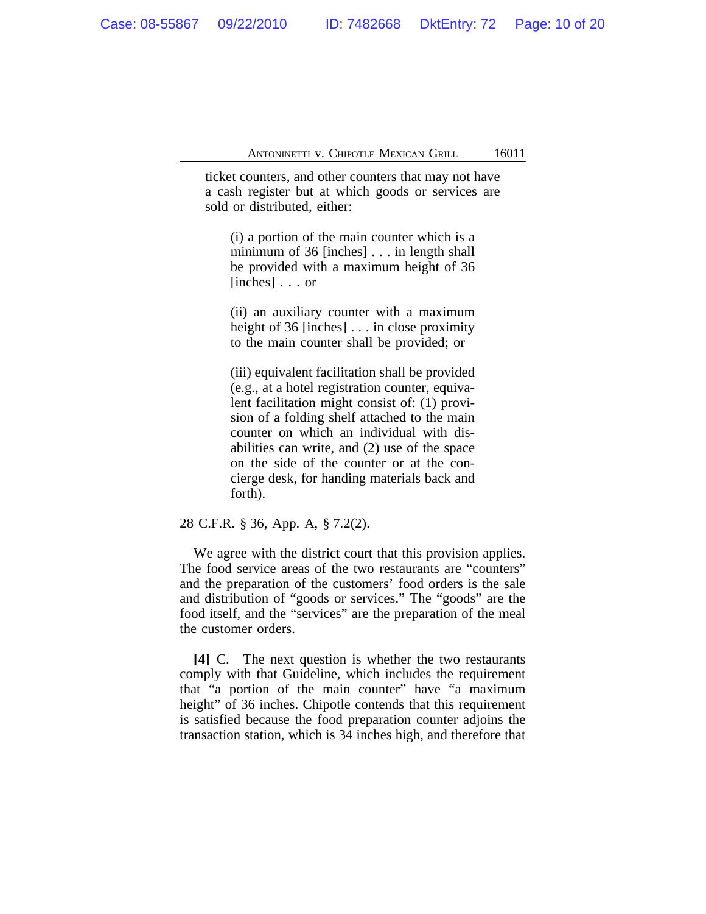ticket counters, and other counters that may not have a cash register but at which goods or services are sold or distributed, either:

(i) a portion of the main counter which is a minimum of 36 [inches] . . . in length shall be provided with a maximum height of 36 [inches] . . . or

(ii) an auxiliary counter with a maximum height of 36 [inches] . . . in close proximity to the main counter shall be provided; or

(iii) equivalent facilitation shall be provided (e.g., at a hotel registration counter, equivalent facilitation might consist of: (1) provision of a folding shelf attached to the main counter on which an individual with disabilities can write, and (2) use of the space on the side of the counter or at the concierge desk, for handing materials back and forth).

28 C.F.R. § 36, App. A, § 7.2(2).

We agree with the district court that this provision applies. The food service areas of the two restaurants are "counters" and the preparation of the customers' food orders is the sale and distribution of "goods or services." The "goods" are the food itself, and the "services" are the preparation of the meal the customer orders.

**[4]** C. The next question is whether the two restaurants comply with that Guideline, which includes the requirement that "a portion of the main counter" have "a maximum height" of 36 inches. Chipotle contends that this requirement is satisfied because the food preparation counter adjoins the transaction station, which is 34 inches high, and therefore that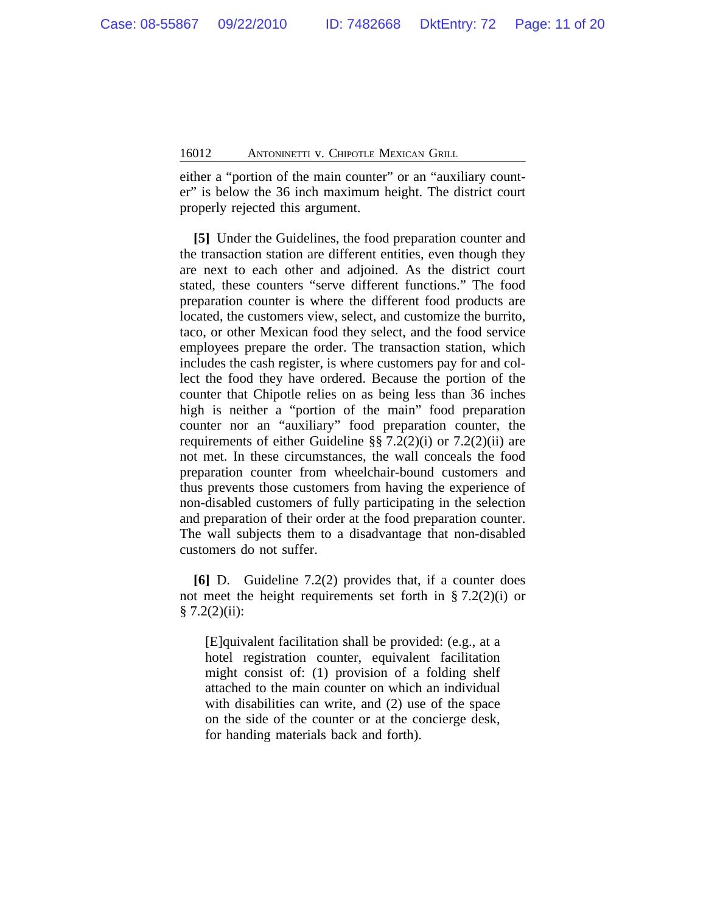either a "portion of the main counter" or an "auxiliary counter" is below the 36 inch maximum height. The district court properly rejected this argument.

**[5]** Under the Guidelines, the food preparation counter and the transaction station are different entities, even though they are next to each other and adjoined. As the district court stated, these counters "serve different functions." The food preparation counter is where the different food products are located, the customers view, select, and customize the burrito, taco, or other Mexican food they select, and the food service employees prepare the order. The transaction station, which includes the cash register, is where customers pay for and collect the food they have ordered. Because the portion of the counter that Chipotle relies on as being less than 36 inches high is neither a "portion of the main" food preparation counter nor an "auxiliary" food preparation counter, the requirements of either Guideline §§ 7.2(2)(i) or 7.2(2)(ii) are not met. In these circumstances, the wall conceals the food preparation counter from wheelchair-bound customers and thus prevents those customers from having the experience of non-disabled customers of fully participating in the selection and preparation of their order at the food preparation counter. The wall subjects them to a disadvantage that non-disabled customers do not suffer.

**[6]** D. Guideline 7.2(2) provides that, if a counter does not meet the height requirements set forth in  $\S 7.2(2)(i)$  or  $§ 7.2(2)(ii):$ 

[E]quivalent facilitation shall be provided: (e.g., at a hotel registration counter, equivalent facilitation might consist of: (1) provision of a folding shelf attached to the main counter on which an individual with disabilities can write, and (2) use of the space on the side of the counter or at the concierge desk, for handing materials back and forth).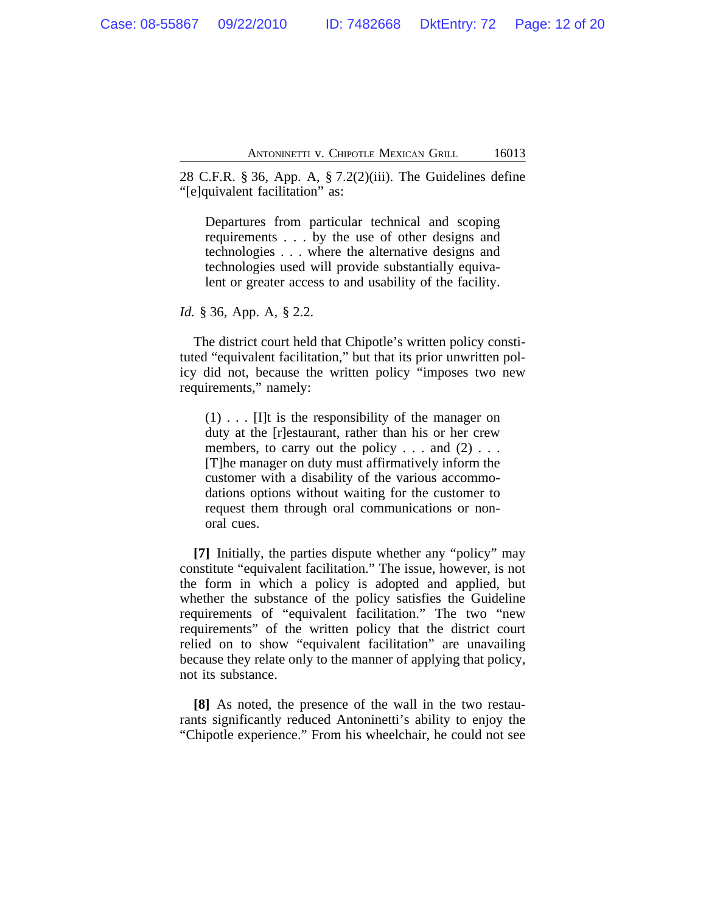28 C.F.R. § 36, App. A, § 7.2(2)(iii). The Guidelines define "[e]quivalent facilitation" as:

Departures from particular technical and scoping requirements . . . by the use of other designs and technologies . . . where the alternative designs and technologies used will provide substantially equivalent or greater access to and usability of the facility.

*Id.* § 36, App. A, § 2.2.

The district court held that Chipotle's written policy constituted "equivalent facilitation," but that its prior unwritten policy did not, because the written policy "imposes two new requirements," namely:

 $(1)$ ... [I]t is the responsibility of the manager on duty at the [r]estaurant, rather than his or her crew members, to carry out the policy  $\dots$  and (2)  $\dots$ [T]he manager on duty must affirmatively inform the customer with a disability of the various accommodations options without waiting for the customer to request them through oral communications or nonoral cues.

**[7]** Initially, the parties dispute whether any "policy" may constitute "equivalent facilitation." The issue, however, is not the form in which a policy is adopted and applied, but whether the substance of the policy satisfies the Guideline requirements of "equivalent facilitation." The two "new requirements" of the written policy that the district court relied on to show "equivalent facilitation" are unavailing because they relate only to the manner of applying that policy, not its substance.

**[8]** As noted, the presence of the wall in the two restaurants significantly reduced Antoninetti's ability to enjoy the "Chipotle experience." From his wheelchair, he could not see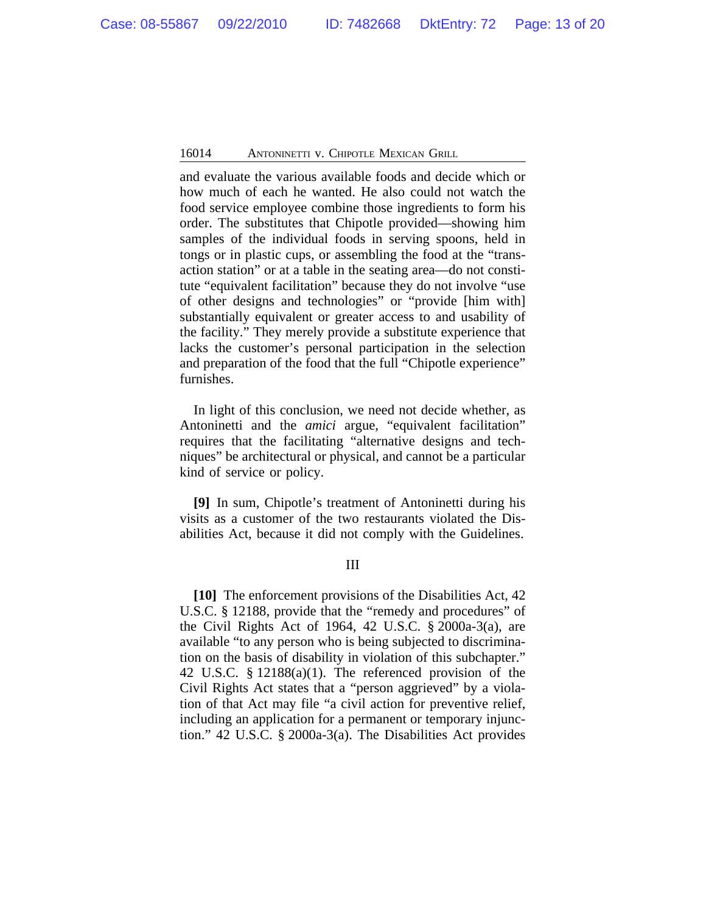and evaluate the various available foods and decide which or how much of each he wanted. He also could not watch the food service employee combine those ingredients to form his order. The substitutes that Chipotle provided—showing him samples of the individual foods in serving spoons, held in tongs or in plastic cups, or assembling the food at the "transaction station" or at a table in the seating area—do not constitute "equivalent facilitation" because they do not involve "use of other designs and technologies" or "provide [him with] substantially equivalent or greater access to and usability of the facility." They merely provide a substitute experience that lacks the customer's personal participation in the selection and preparation of the food that the full "Chipotle experience" furnishes.

In light of this conclusion, we need not decide whether, as Antoninetti and the *amici* argue, "equivalent facilitation" requires that the facilitating "alternative designs and techniques" be architectural or physical, and cannot be a particular kind of service or policy.

**[9]** In sum, Chipotle's treatment of Antoninetti during his visits as a customer of the two restaurants violated the Disabilities Act, because it did not comply with the Guidelines.

# III

**[10]** The enforcement provisions of the Disabilities Act, 42 U.S.C. § 12188, provide that the "remedy and procedures" of the Civil Rights Act of 1964, 42 U.S.C. § 2000a-3(a), are available "to any person who is being subjected to discrimination on the basis of disability in violation of this subchapter." 42 U.S.C. § 12188(a)(1). The referenced provision of the Civil Rights Act states that a "person aggrieved" by a violation of that Act may file "a civil action for preventive relief, including an application for a permanent or temporary injunction." 42 U.S.C. § 2000a-3(a). The Disabilities Act provides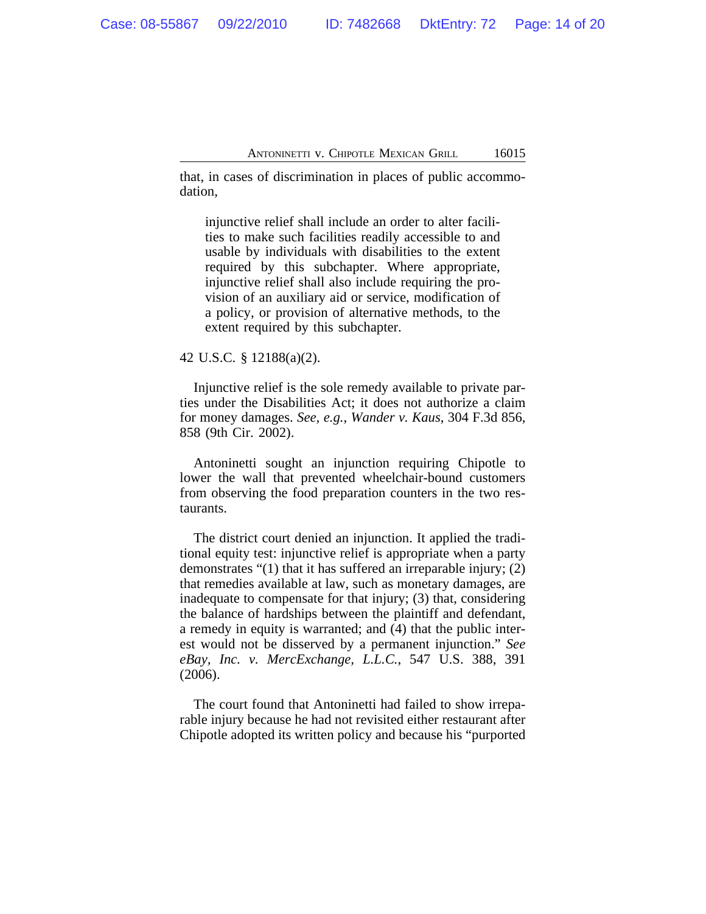that, in cases of discrimination in places of public accommodation,

injunctive relief shall include an order to alter facilities to make such facilities readily accessible to and usable by individuals with disabilities to the extent required by this subchapter. Where appropriate, injunctive relief shall also include requiring the provision of an auxiliary aid or service, modification of a policy, or provision of alternative methods, to the extent required by this subchapter.

42 U.S.C. § 12188(a)(2).

Injunctive relief is the sole remedy available to private parties under the Disabilities Act; it does not authorize a claim for money damages. *See, e.g.*, *Wander v. Kaus*, 304 F.3d 856, 858 (9th Cir. 2002).

Antoninetti sought an injunction requiring Chipotle to lower the wall that prevented wheelchair-bound customers from observing the food preparation counters in the two restaurants.

The district court denied an injunction. It applied the traditional equity test: injunctive relief is appropriate when a party demonstrates "(1) that it has suffered an irreparable injury; (2) that remedies available at law, such as monetary damages, are inadequate to compensate for that injury; (3) that, considering the balance of hardships between the plaintiff and defendant, a remedy in equity is warranted; and (4) that the public interest would not be disserved by a permanent injunction." *See eBay, Inc. v. MercExchange, L.L.C.*, 547 U.S. 388, 391 (2006).

The court found that Antoninetti had failed to show irreparable injury because he had not revisited either restaurant after Chipotle adopted its written policy and because his "purported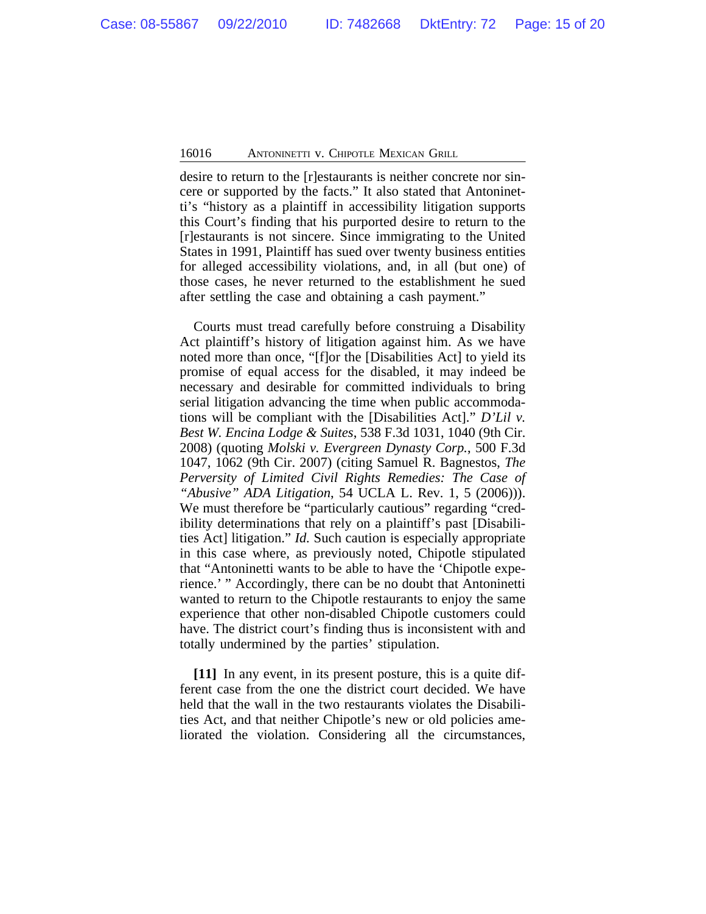desire to return to the [r]estaurants is neither concrete nor sincere or supported by the facts." It also stated that Antoninetti's "history as a plaintiff in accessibility litigation supports this Court's finding that his purported desire to return to the [r]estaurants is not sincere. Since immigrating to the United States in 1991, Plaintiff has sued over twenty business entities for alleged accessibility violations, and, in all (but one) of those cases, he never returned to the establishment he sued after settling the case and obtaining a cash payment."

Courts must tread carefully before construing a Disability Act plaintiff's history of litigation against him. As we have noted more than once, "[f]or the [Disabilities Act] to yield its promise of equal access for the disabled, it may indeed be necessary and desirable for committed individuals to bring serial litigation advancing the time when public accommodations will be compliant with the [Disabilities Act]." *D'Lil v. Best W. Encina Lodge & Suites*, 538 F.3d 1031, 1040 (9th Cir. 2008) (quoting *Molski v. Evergreen Dynasty Corp.*, 500 F.3d 1047, 1062 (9th Cir. 2007) (citing Samuel R. Bagnestos, *The Perversity of Limited Civil Rights Remedies: The Case of "Abusive" ADA Litigation*, 54 UCLA L. Rev. 1, 5 (2006))). We must therefore be "particularly cautious" regarding "credibility determinations that rely on a plaintiff's past [Disabilities Act] litigation." *Id.* Such caution is especially appropriate in this case where, as previously noted, Chipotle stipulated that "Antoninetti wants to be able to have the 'Chipotle experience.' " Accordingly, there can be no doubt that Antoninetti wanted to return to the Chipotle restaurants to enjoy the same experience that other non-disabled Chipotle customers could have. The district court's finding thus is inconsistent with and totally undermined by the parties' stipulation.

**[11]** In any event, in its present posture, this is a quite different case from the one the district court decided. We have held that the wall in the two restaurants violates the Disabilities Act, and that neither Chipotle's new or old policies ameliorated the violation. Considering all the circumstances,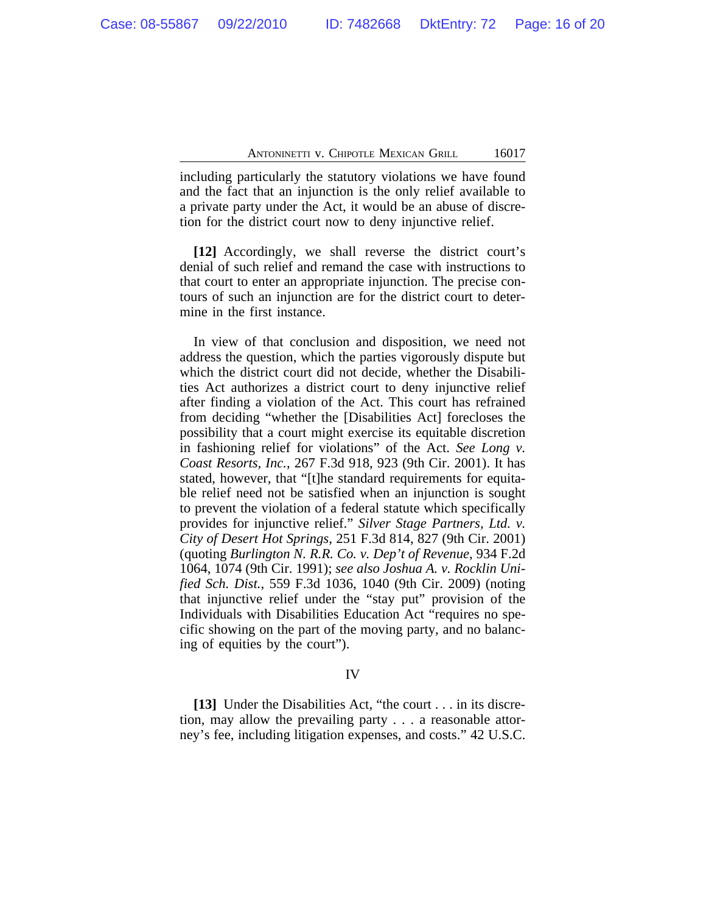including particularly the statutory violations we have found and the fact that an injunction is the only relief available to a private party under the Act, it would be an abuse of discretion for the district court now to deny injunctive relief.

**[12]** Accordingly, we shall reverse the district court's denial of such relief and remand the case with instructions to that court to enter an appropriate injunction. The precise contours of such an injunction are for the district court to determine in the first instance.

In view of that conclusion and disposition, we need not address the question, which the parties vigorously dispute but which the district court did not decide, whether the Disabilities Act authorizes a district court to deny injunctive relief after finding a violation of the Act. This court has refrained from deciding "whether the [Disabilities Act] forecloses the possibility that a court might exercise its equitable discretion in fashioning relief for violations" of the Act. *See Long v. Coast Resorts, Inc.*, 267 F.3d 918, 923 (9th Cir. 2001). It has stated, however, that "[t]he standard requirements for equitable relief need not be satisfied when an injunction is sought to prevent the violation of a federal statute which specifically provides for injunctive relief." *Silver Stage Partners, Ltd. v. City of Desert Hot Springs*, 251 F.3d 814, 827 (9th Cir. 2001) (quoting *Burlington N. R.R. Co. v. Dep't of Revenue*, 934 F.2d 1064, 1074 (9th Cir. 1991); *see also Joshua A. v. Rocklin Unified Sch. Dist.*, 559 F.3d 1036, 1040 (9th Cir. 2009) (noting that injunctive relief under the "stay put" provision of the Individuals with Disabilities Education Act "requires no specific showing on the part of the moving party, and no balancing of equities by the court").

# IV

**[13]** Under the Disabilities Act, "the court . . . in its discretion, may allow the prevailing party . . . a reasonable attorney's fee, including litigation expenses, and costs." 42 U.S.C.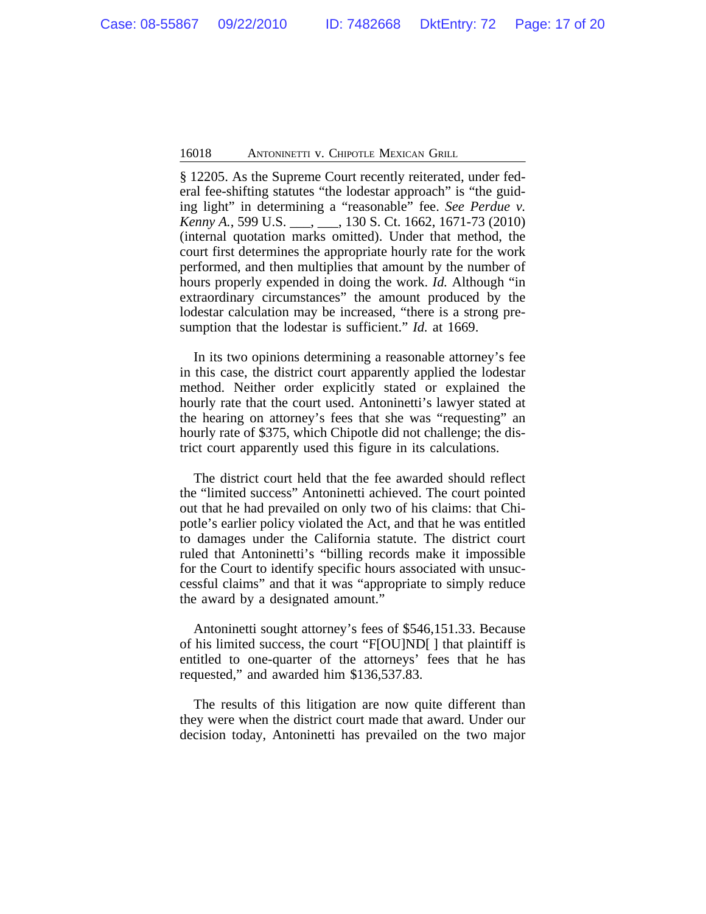§ 12205. As the Supreme Court recently reiterated, under federal fee-shifting statutes "the lodestar approach" is "the guiding light" in determining a "reasonable" fee. *See Perdue v. Kenny A.*, 599 U.S. \_\_\_, \_\_\_, 130 S. Ct. 1662, 1671-73 (2010) (internal quotation marks omitted). Under that method, the court first determines the appropriate hourly rate for the work performed, and then multiplies that amount by the number of hours properly expended in doing the work. *Id.* Although "in extraordinary circumstances" the amount produced by the lodestar calculation may be increased, "there is a strong presumption that the lodestar is sufficient." *Id.* at 1669.

In its two opinions determining a reasonable attorney's fee in this case, the district court apparently applied the lodestar method. Neither order explicitly stated or explained the hourly rate that the court used. Antoninetti's lawyer stated at the hearing on attorney's fees that she was "requesting" an hourly rate of \$375, which Chipotle did not challenge; the district court apparently used this figure in its calculations.

The district court held that the fee awarded should reflect the "limited success" Antoninetti achieved. The court pointed out that he had prevailed on only two of his claims: that Chipotle's earlier policy violated the Act, and that he was entitled to damages under the California statute. The district court ruled that Antoninetti's "billing records make it impossible for the Court to identify specific hours associated with unsuccessful claims" and that it was "appropriate to simply reduce the award by a designated amount."

Antoninetti sought attorney's fees of \$546,151.33. Because of his limited success, the court "F[OU]ND[ ] that plaintiff is entitled to one-quarter of the attorneys' fees that he has requested," and awarded him \$136,537.83.

The results of this litigation are now quite different than they were when the district court made that award. Under our decision today, Antoninetti has prevailed on the two major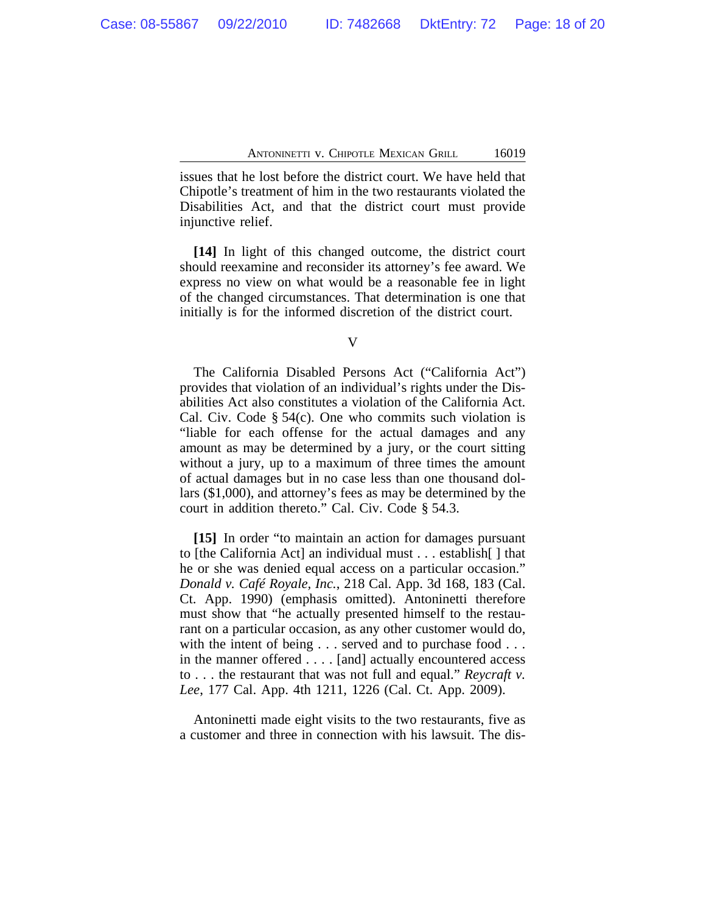issues that he lost before the district court. We have held that Chipotle's treatment of him in the two restaurants violated the Disabilities Act, and that the district court must provide injunctive relief.

**[14]** In light of this changed outcome, the district court should reexamine and reconsider its attorney's fee award. We express no view on what would be a reasonable fee in light of the changed circumstances. That determination is one that initially is for the informed discretion of the district court.

V

The California Disabled Persons Act ("California Act") provides that violation of an individual's rights under the Disabilities Act also constitutes a violation of the California Act. Cal. Civ. Code § 54(c). One who commits such violation is "liable for each offense for the actual damages and any amount as may be determined by a jury, or the court sitting without a jury, up to a maximum of three times the amount of actual damages but in no case less than one thousand dollars (\$1,000), and attorney's fees as may be determined by the court in addition thereto." Cal. Civ. Code § 54.3.

**[15]** In order "to maintain an action for damages pursuant to [the California Act] an individual must . . . establish[ ] that he or she was denied equal access on a particular occasion." *Donald v. Café Royale, Inc.*, 218 Cal. App. 3d 168, 183 (Cal. Ct. App. 1990) (emphasis omitted). Antoninetti therefore must show that "he actually presented himself to the restaurant on a particular occasion, as any other customer would do, with the intent of being . . . served and to purchase food . . . in the manner offered . . . . [and] actually encountered access to . . . the restaurant that was not full and equal." *Reycraft v. Lee*, 177 Cal. App. 4th 1211, 1226 (Cal. Ct. App. 2009).

Antoninetti made eight visits to the two restaurants, five as a customer and three in connection with his lawsuit. The dis-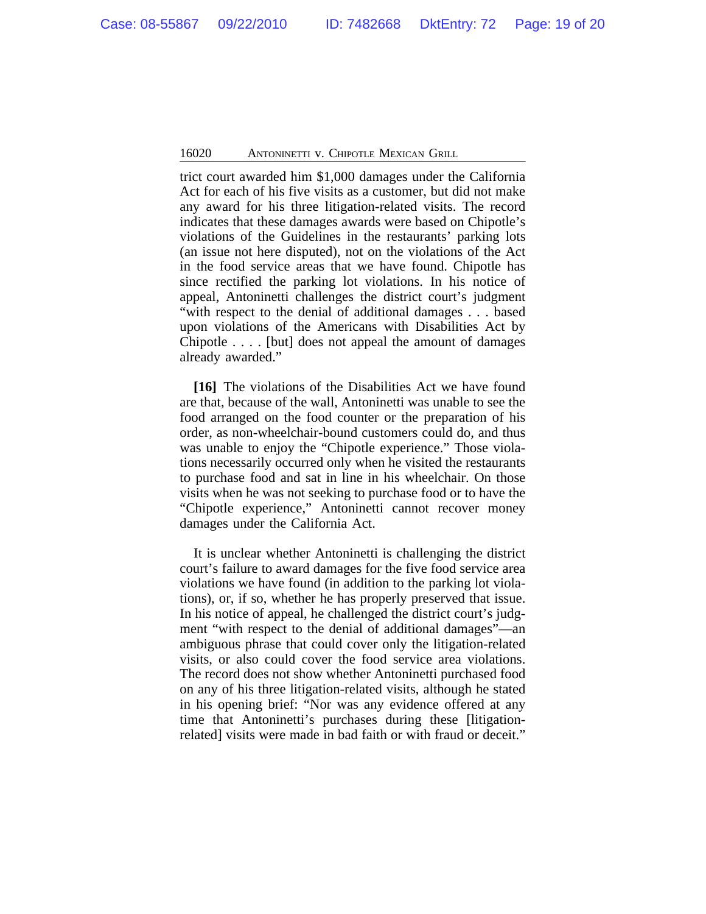trict court awarded him \$1,000 damages under the California Act for each of his five visits as a customer, but did not make any award for his three litigation-related visits. The record indicates that these damages awards were based on Chipotle's violations of the Guidelines in the restaurants' parking lots (an issue not here disputed), not on the violations of the Act in the food service areas that we have found. Chipotle has since rectified the parking lot violations. In his notice of appeal, Antoninetti challenges the district court's judgment "with respect to the denial of additional damages . . . based upon violations of the Americans with Disabilities Act by Chipotle . . . . [but] does not appeal the amount of damages already awarded."

**[16]** The violations of the Disabilities Act we have found are that, because of the wall, Antoninetti was unable to see the food arranged on the food counter or the preparation of his order, as non-wheelchair-bound customers could do, and thus was unable to enjoy the "Chipotle experience." Those violations necessarily occurred only when he visited the restaurants to purchase food and sat in line in his wheelchair. On those visits when he was not seeking to purchase food or to have the "Chipotle experience," Antoninetti cannot recover money damages under the California Act.

It is unclear whether Antoninetti is challenging the district court's failure to award damages for the five food service area violations we have found (in addition to the parking lot violations), or, if so, whether he has properly preserved that issue. In his notice of appeal, he challenged the district court's judgment "with respect to the denial of additional damages"—an ambiguous phrase that could cover only the litigation-related visits, or also could cover the food service area violations. The record does not show whether Antoninetti purchased food on any of his three litigation-related visits, although he stated in his opening brief: "Nor was any evidence offered at any time that Antoninetti's purchases during these [litigationrelated] visits were made in bad faith or with fraud or deceit."